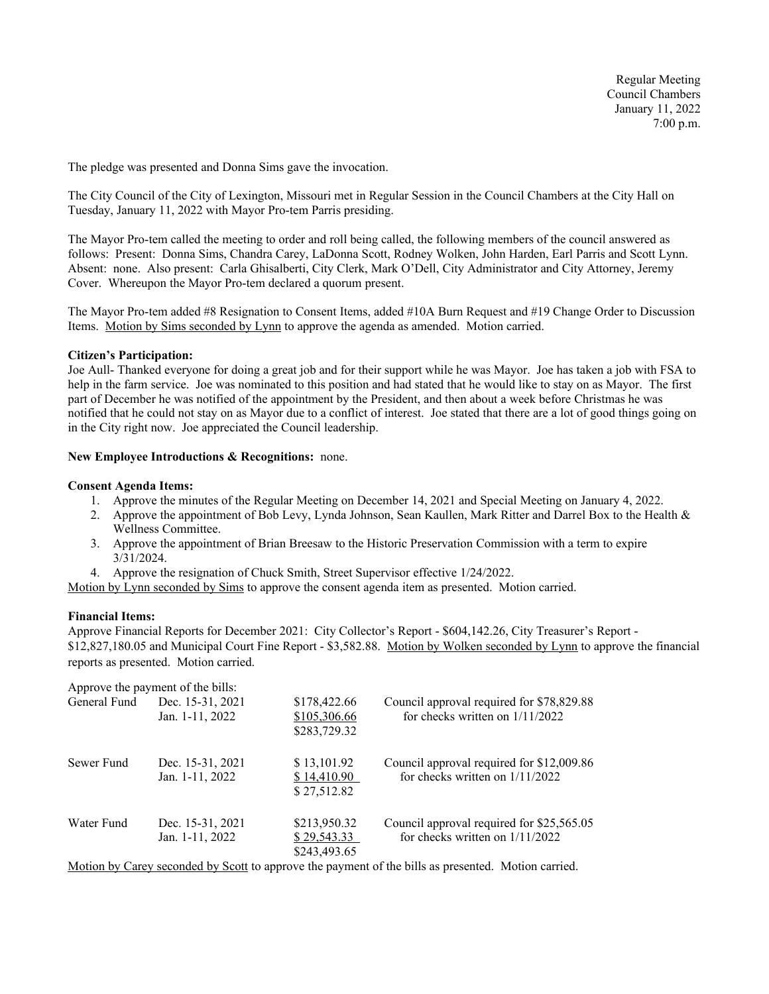Regular Meeting Council Chambers January 11, 2022 7:00 p.m.

The pledge was presented and Donna Sims gave the invocation.

The City Council of the City of Lexington, Missouri met in Regular Session in the Council Chambers at the City Hall on Tuesday, January 11, 2022 with Mayor Pro-tem Parris presiding.

The Mayor Pro-tem called the meeting to order and roll being called, the following members of the council answered as follows: Present: Donna Sims, Chandra Carey, LaDonna Scott, Rodney Wolken, John Harden, Earl Parris and Scott Lynn. Absent: none. Also present: Carla Ghisalberti, City Clerk, Mark O'Dell, City Administrator and City Attorney, Jeremy Cover. Whereupon the Mayor Pro-tem declared a quorum present.

The Mayor Pro-tem added #8 Resignation to Consent Items, added #10A Burn Request and #19 Change Order to Discussion Items. Motion by Sims seconded by Lynn to approve the agenda as amended. Motion carried.

### **Citizen's Participation:**

Joe Aull- Thanked everyone for doing a great job and for their support while he was Mayor. Joe has taken a job with FSA to help in the farm service. Joe was nominated to this position and had stated that he would like to stay on as Mayor. The first part of December he was notified of the appointment by the President, and then about a week before Christmas he was notified that he could not stay on as Mayor due to a conflict of interest. Joe stated that there are a lot of good things going on in the City right now. Joe appreciated the Council leadership.

### **New Employee Introductions & Recognitions:** none.

### **Consent Agenda Items:**

- 1. Approve the minutes of the Regular Meeting on December 14, 2021 and Special Meeting on January 4, 2022.
- 2. Approve the appointment of Bob Levy, Lynda Johnson, Sean Kaullen, Mark Ritter and Darrel Box to the Health & Wellness Committee.
- 3. Approve the appointment of Brian Breesaw to the Historic Preservation Commission with a term to expire 3/31/2024.
- 4. Approve the resignation of Chuck Smith, Street Supervisor effective 1/24/2022.

Motion by Lynn seconded by Sims to approve the consent agenda item as presented. Motion carried.

## **Financial Items:**

Approve Financial Reports for December 2021: City Collector's Report - \$604,142.26, City Treasurer's Report - \$12,827,180.05 and Municipal Court Fine Report - \$3,582.88. Motion by Wolken seconded by Lynn to approve the financial reports as presented. Motion carried.

|              | Approve the payment of the bills:   |                                              |                                                                                                                                                                         |
|--------------|-------------------------------------|----------------------------------------------|-------------------------------------------------------------------------------------------------------------------------------------------------------------------------|
| General Fund | Dec. 15-31, 2021<br>Jan. 1-11, 2022 | \$178,422.66<br>\$105,306.66<br>\$283,729.32 | Council approval required for \$78,829.88<br>for checks written on 1/11/2022                                                                                            |
| Sewer Fund   | Dec. 15-31, 2021<br>Jan. 1-11, 2022 | \$13,101.92<br>\$14,410.90<br>\$27,512.82    | Council approval required for \$12,009.86<br>for checks written on $1/11/2022$                                                                                          |
| Water Fund   | Dec. 15-31, 2021<br>Jan. 1-11, 2022 | \$213,950.32<br>\$29,543.33<br>\$243,493.65  | Council approval required for \$25,565.05<br>for checks written on $1/11/2022$                                                                                          |
|              |                                     |                                              | $M_{\rm eff}$ , $M_{\rm eff}$ , $M_{\rm eff}$ , and $M_{\rm eff}$ , $M_{\rm eff}$ , and a sequence of the sequence of $M_{\rm eff}$ , $M_{\rm eff}$ , and $M_{\rm eff}$ |

Motion by Carey seconded by Scott to approve the payment of the bills as presented. Motion carried.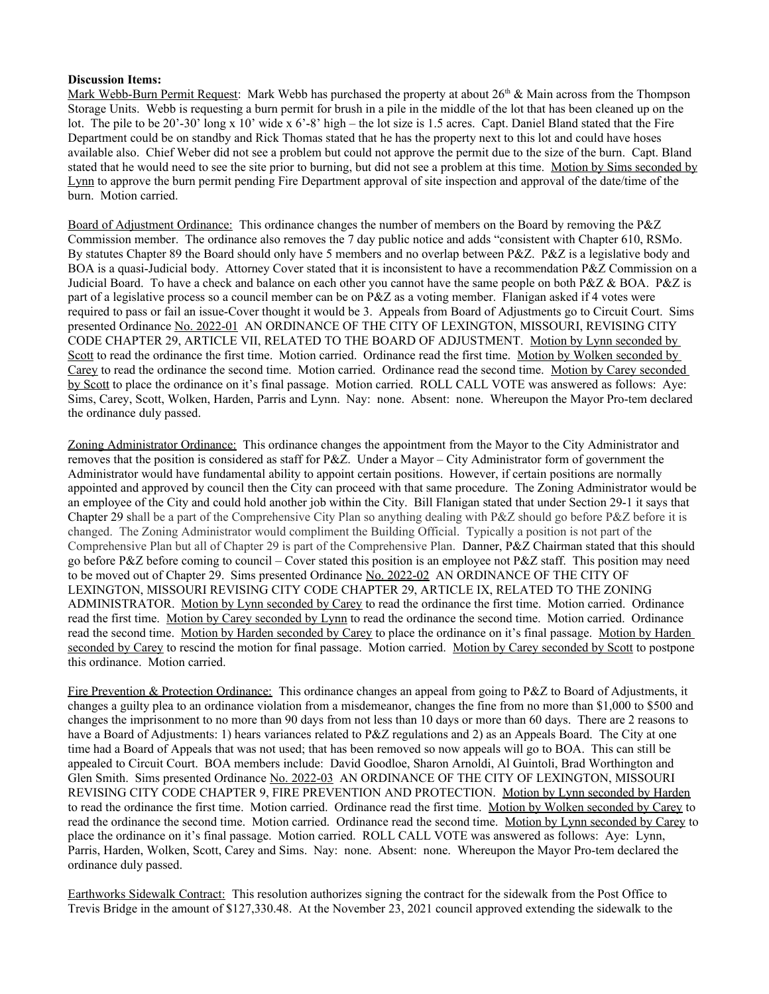# **Discussion Items:**

Mark Webb-Burn Permit Request: Mark Webb has purchased the property at about  $26<sup>th</sup>$  & Main across from the Thompson Storage Units. Webb is requesting a burn permit for brush in a pile in the middle of the lot that has been cleaned up on the lot. The pile to be 20'-30' long x 10' wide x 6'-8' high – the lot size is 1.5 acres. Capt. Daniel Bland stated that the Fire Department could be on standby and Rick Thomas stated that he has the property next to this lot and could have hoses available also. Chief Weber did not see a problem but could not approve the permit due to the size of the burn. Capt. Bland stated that he would need to see the site prior to burning, but did not see a problem at this time. Motion by Sims seconded by Lynn to approve the burn permit pending Fire Department approval of site inspection and approval of the date/time of the burn. Motion carried.

Board of Adjustment Ordinance: This ordinance changes the number of members on the Board by removing the P&Z Commission member. The ordinance also removes the 7 day public notice and adds "consistent with Chapter 610, RSMo. By statutes Chapter 89 the Board should only have 5 members and no overlap between P&Z. P&Z is a legislative body and BOA is a quasi-Judicial body. Attorney Cover stated that it is inconsistent to have a recommendation P&Z Commission on a Judicial Board. To have a check and balance on each other you cannot have the same people on both P&Z & BOA. P&Z is part of a legislative process so a council member can be on P&Z as a voting member. Flanigan asked if 4 votes were required to pass or fail an issue-Cover thought it would be 3. Appeals from Board of Adjustments go to Circuit Court. Sims presented Ordinance No. 2022-01 AN ORDINANCE OF THE CITY OF LEXINGTON, MISSOURI, REVISING CITY CODE CHAPTER 29, ARTICLE VII, RELATED TO THE BOARD OF ADJUSTMENT. Motion by Lynn seconded by Scott to read the ordinance the first time. Motion carried. Ordinance read the first time. Motion by Wolken seconded by Carey to read the ordinance the second time. Motion carried. Ordinance read the second time. Motion by Carey seconded by Scott to place the ordinance on it's final passage. Motion carried. ROLL CALL VOTE was answered as follows: Aye: Sims, Carey, Scott, Wolken, Harden, Parris and Lynn. Nay: none. Absent: none. Whereupon the Mayor Pro-tem declared the ordinance duly passed.

Zoning Administrator Ordinance: This ordinance changes the appointment from the Mayor to the City Administrator and removes that the position is considered as staff for P&Z. Under a Mayor – City Administrator form of government the Administrator would have fundamental ability to appoint certain positions. However, if certain positions are normally appointed and approved by council then the City can proceed with that same procedure. The Zoning Administrator would be an employee of the City and could hold another job within the City. Bill Flanigan stated that under Section 29-1 it says that Chapter 29 shall be a part of the Comprehensive City Plan so anything dealing with P&Z should go before P&Z before it is changed. The Zoning Administrator would compliment the Building Official. Typically a position is not part of the Comprehensive Plan but all of Chapter 29 is part of the Comprehensive Plan. Danner, P&Z Chairman stated that this should go before P&Z before coming to council – Cover stated this position is an employee not P&Z staff. This position may need to be moved out of Chapter 29. Sims presented Ordinance No. 2022-02 AN ORDINANCE OF THE CITY OF LEXINGTON, MISSOURI REVISING CITY CODE CHAPTER 29, ARTICLE IX, RELATED TO THE ZONING ADMINISTRATOR. Motion by Lynn seconded by Carey to read the ordinance the first time. Motion carried. Ordinance read the first time. Motion by Carey seconded by Lynn to read the ordinance the second time. Motion carried. Ordinance read the second time. Motion by Harden seconded by Carey to place the ordinance on it's final passage. Motion by Harden seconded by Carey to rescind the motion for final passage. Motion carried. Motion by Carey seconded by Scott to postpone this ordinance. Motion carried.

Fire Prevention & Protection Ordinance: This ordinance changes an appeal from going to P&Z to Board of Adjustments, it changes a guilty plea to an ordinance violation from a misdemeanor, changes the fine from no more than \$1,000 to \$500 and changes the imprisonment to no more than 90 days from not less than 10 days or more than 60 days. There are 2 reasons to have a Board of Adjustments: 1) hears variances related to P&Z regulations and 2) as an Appeals Board. The City at one time had a Board of Appeals that was not used; that has been removed so now appeals will go to BOA. This can still be appealed to Circuit Court. BOA members include: David Goodloe, Sharon Arnoldi, Al Guintoli, Brad Worthington and Glen Smith. Sims presented Ordinance No. 2022-03 AN ORDINANCE OF THE CITY OF LEXINGTON, MISSOURI REVISING CITY CODE CHAPTER 9, FIRE PREVENTION AND PROTECTION. Motion by Lynn seconded by Harden to read the ordinance the first time. Motion carried. Ordinance read the first time. Motion by Wolken seconded by Carey to read the ordinance the second time. Motion carried. Ordinance read the second time. Motion by Lynn seconded by Carey to place the ordinance on it's final passage. Motion carried. ROLL CALL VOTE was answered as follows: Aye: Lynn, Parris, Harden, Wolken, Scott, Carey and Sims. Nay: none. Absent: none. Whereupon the Mayor Pro-tem declared the ordinance duly passed.

Earthworks Sidewalk Contract: This resolution authorizes signing the contract for the sidewalk from the Post Office to Trevis Bridge in the amount of \$127,330.48. At the November 23, 2021 council approved extending the sidewalk to the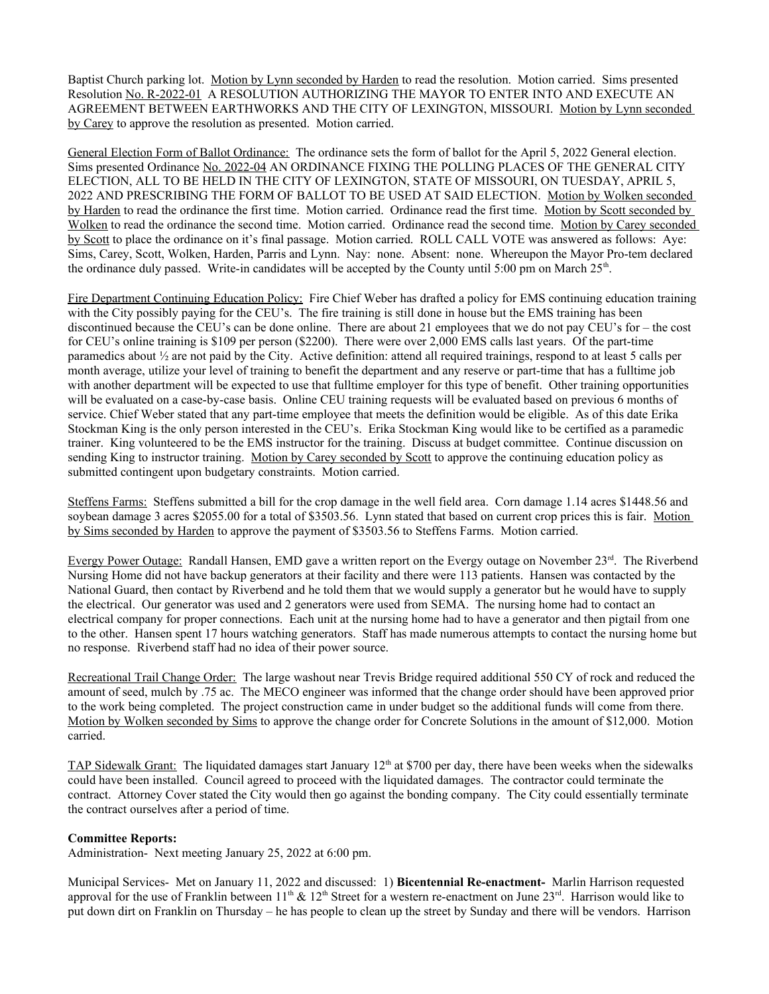Baptist Church parking lot. Motion by Lynn seconded by Harden to read the resolution. Motion carried. Sims presented Resolution No. R-2022-01 A RESOLUTION AUTHORIZING THE MAYOR TO ENTER INTO AND EXECUTE AN AGREEMENT BETWEEN EARTHWORKS AND THE CITY OF LEXINGTON, MISSOURI. Motion by Lynn seconded by Carey to approve the resolution as presented. Motion carried.

General Election Form of Ballot Ordinance: The ordinance sets the form of ballot for the April 5, 2022 General election. Sims presented Ordinance No. 2022-04 AN ORDINANCE FIXING THE POLLING PLACES OF THE GENERAL CITY ELECTION, ALL TO BE HELD IN THE CITY OF LEXINGTON, STATE OF MISSOURI, ON TUESDAY, APRIL 5, 2022 AND PRESCRIBING THE FORM OF BALLOT TO BE USED AT SAID ELECTION. Motion by Wolken seconded by Harden to read the ordinance the first time. Motion carried. Ordinance read the first time. Motion by Scott seconded by Wolken to read the ordinance the second time. Motion carried. Ordinance read the second time. Motion by Carey seconded by Scott to place the ordinance on it's final passage. Motion carried. ROLL CALL VOTE was answered as follows: Aye: Sims, Carey, Scott, Wolken, Harden, Parris and Lynn. Nay: none. Absent: none. Whereupon the Mayor Pro-tem declared the ordinance duly passed. Write-in candidates will be accepted by the County until  $5:00 \text{ pm}$  on March  $25^{\text{th}}$ .

Fire Department Continuing Education Policy: Fire Chief Weber has drafted a policy for EMS continuing education training with the City possibly paying for the CEU's. The fire training is still done in house but the EMS training has been discontinued because the CEU's can be done online. There are about 21 employees that we do not pay CEU's for – the cost for CEU's online training is \$109 per person (\$2200). There were over 2,000 EMS calls last years. Of the part-time paramedics about ½ are not paid by the City. Active definition: attend all required trainings, respond to at least 5 calls per month average, utilize your level of training to benefit the department and any reserve or part-time that has a fulltime job with another department will be expected to use that fulltime employer for this type of benefit. Other training opportunities will be evaluated on a case-by-case basis. Online CEU training requests will be evaluated based on previous 6 months of service. Chief Weber stated that any part-time employee that meets the definition would be eligible. As of this date Erika Stockman King is the only person interested in the CEU's. Erika Stockman King would like to be certified as a paramedic trainer. King volunteered to be the EMS instructor for the training. Discuss at budget committee. Continue discussion on sending King to instructor training. Motion by Carey seconded by Scott to approve the continuing education policy as submitted contingent upon budgetary constraints. Motion carried.

Steffens Farms: Steffens submitted a bill for the crop damage in the well field area. Corn damage 1.14 acres \$1448.56 and soybean damage 3 acres \$2055.00 for a total of \$3503.56. Lynn stated that based on current crop prices this is fair. Motion by Sims seconded by Harden to approve the payment of \$3503.56 to Steffens Farms. Motion carried.

Evergy Power Outage: Randall Hansen, EMD gave a written report on the Evergy outage on November 23<sup>rd</sup>. The Riverbend Nursing Home did not have backup generators at their facility and there were 113 patients. Hansen was contacted by the National Guard, then contact by Riverbend and he told them that we would supply a generator but he would have to supply the electrical. Our generator was used and 2 generators were used from SEMA. The nursing home had to contact an electrical company for proper connections. Each unit at the nursing home had to have a generator and then pigtail from one to the other. Hansen spent 17 hours watching generators. Staff has made numerous attempts to contact the nursing home but no response. Riverbend staff had no idea of their power source.

Recreational Trail Change Order: The large washout near Trevis Bridge required additional 550 CY of rock and reduced the amount of seed, mulch by .75 ac. The MECO engineer was informed that the change order should have been approved prior to the work being completed. The project construction came in under budget so the additional funds will come from there. Motion by Wolken seconded by Sims to approve the change order for Concrete Solutions in the amount of \$12,000. Motion carried.

TAP Sidewalk Grant: The liquidated damages start January 12<sup>th</sup> at \$700 per day, there have been weeks when the sidewalks could have been installed. Council agreed to proceed with the liquidated damages. The contractor could terminate the contract. Attorney Cover stated the City would then go against the bonding company. The City could essentially terminate the contract ourselves after a period of time.

# **Committee Reports:**

Administration- Next meeting January 25, 2022 at 6:00 pm.

Municipal Services- Met on January 11, 2022 and discussed: 1) **Bicentennial Re-enactment-** Marlin Harrison requested approval for the use of Franklin between  $11^{th} \& 12^{th}$  Street for a western re-enactment on June  $23^{rd}$ . Harrison would like to put down dirt on Franklin on Thursday – he has people to clean up the street by Sunday and there will be vendors. Harrison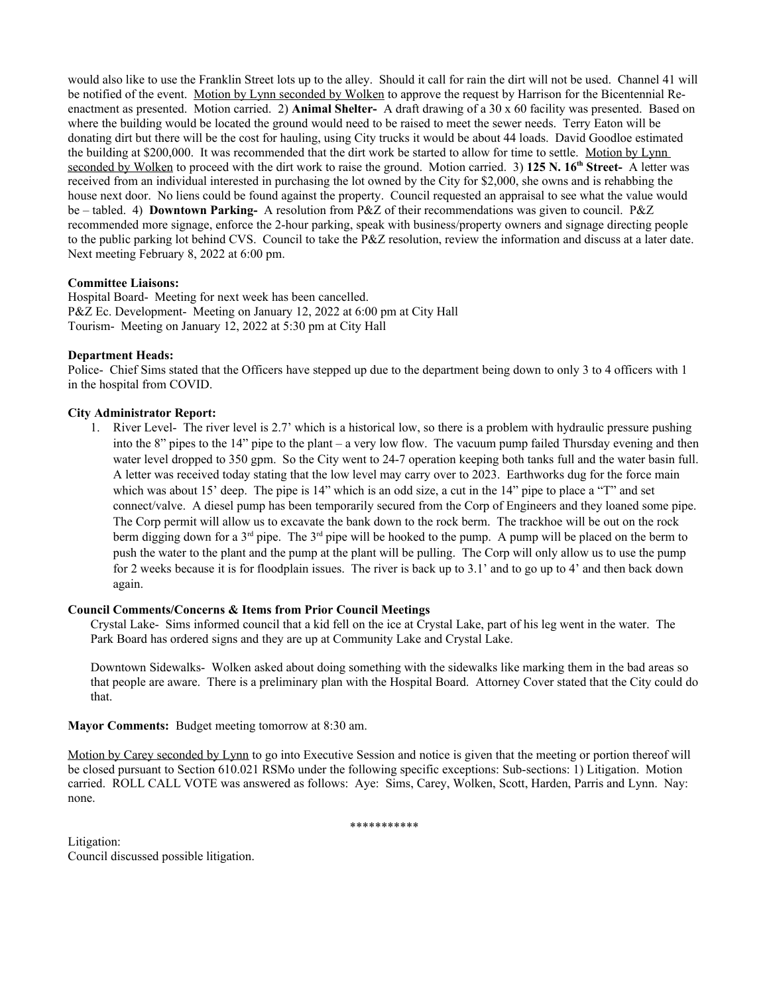would also like to use the Franklin Street lots up to the alley. Should it call for rain the dirt will not be used. Channel 41 will be notified of the event. Motion by Lynn seconded by Wolken to approve the request by Harrison for the Bicentennial Reenactment as presented. Motion carried. 2) **Animal Shelter-** A draft drawing of a 30 x 60 facility was presented. Based on where the building would be located the ground would need to be raised to meet the sewer needs. Terry Eaton will be donating dirt but there will be the cost for hauling, using City trucks it would be about 44 loads. David Goodloe estimated the building at \$200,000. It was recommended that the dirt work be started to allow for time to settle. Motion by Lynn seconded by Wolken to proceed with the dirt work to raise the ground. Motion carried. 3) **125 N. 16th Street-** A letter was received from an individual interested in purchasing the lot owned by the City for \$2,000, she owns and is rehabbing the house next door. No liens could be found against the property. Council requested an appraisal to see what the value would be – tabled. 4) **Downtown Parking-** A resolution from P&Z of their recommendations was given to council. P&Z recommended more signage, enforce the 2-hour parking, speak with business/property owners and signage directing people to the public parking lot behind CVS. Council to take the P&Z resolution, review the information and discuss at a later date. Next meeting February 8, 2022 at 6:00 pm.

# **Committee Liaisons:**

Hospital Board- Meeting for next week has been cancelled. P&Z Ec. Development- Meeting on January 12, 2022 at 6:00 pm at City Hall Tourism- Meeting on January 12, 2022 at 5:30 pm at City Hall

# **Department Heads:**

Police- Chief Sims stated that the Officers have stepped up due to the department being down to only 3 to 4 officers with 1 in the hospital from COVID.

# **City Administrator Report:**

1. River Level- The river level is 2.7' which is a historical low, so there is a problem with hydraulic pressure pushing into the 8" pipes to the 14" pipe to the plant – a very low flow. The vacuum pump failed Thursday evening and then water level dropped to 350 gpm. So the City went to 24-7 operation keeping both tanks full and the water basin full. A letter was received today stating that the low level may carry over to 2023. Earthworks dug for the force main which was about 15' deep. The pipe is 14" which is an odd size, a cut in the 14" pipe to place a "T" and set connect/valve. A diesel pump has been temporarily secured from the Corp of Engineers and they loaned some pipe. The Corp permit will allow us to excavate the bank down to the rock berm. The trackhoe will be out on the rock berm digging down for a  $3<sup>rd</sup>$  pipe. The  $3<sup>rd</sup>$  pipe will be hooked to the pump. A pump will be placed on the berm to push the water to the plant and the pump at the plant will be pulling. The Corp will only allow us to use the pump for 2 weeks because it is for floodplain issues. The river is back up to 3.1' and to go up to 4' and then back down again.

## **Council Comments/Concerns & Items from Prior Council Meetings**

Crystal Lake- Sims informed council that a kid fell on the ice at Crystal Lake, part of his leg went in the water. The Park Board has ordered signs and they are up at Community Lake and Crystal Lake.

Downtown Sidewalks- Wolken asked about doing something with the sidewalks like marking them in the bad areas so that people are aware. There is a preliminary plan with the Hospital Board. Attorney Cover stated that the City could do that.

**Mayor Comments:** Budget meeting tomorrow at 8:30 am.

Motion by Carey seconded by Lynn to go into Executive Session and notice is given that the meeting or portion thereof will be closed pursuant to Section 610.021 RSMo under the following specific exceptions: Sub-sections: 1) Litigation. Motion carried. ROLL CALL VOTE was answered as follows: Aye: Sims, Carey, Wolken, Scott, Harden, Parris and Lynn. Nay: none.

\*\*\*\*\*\*\*\*\*\*\*

Litigation: Council discussed possible litigation.